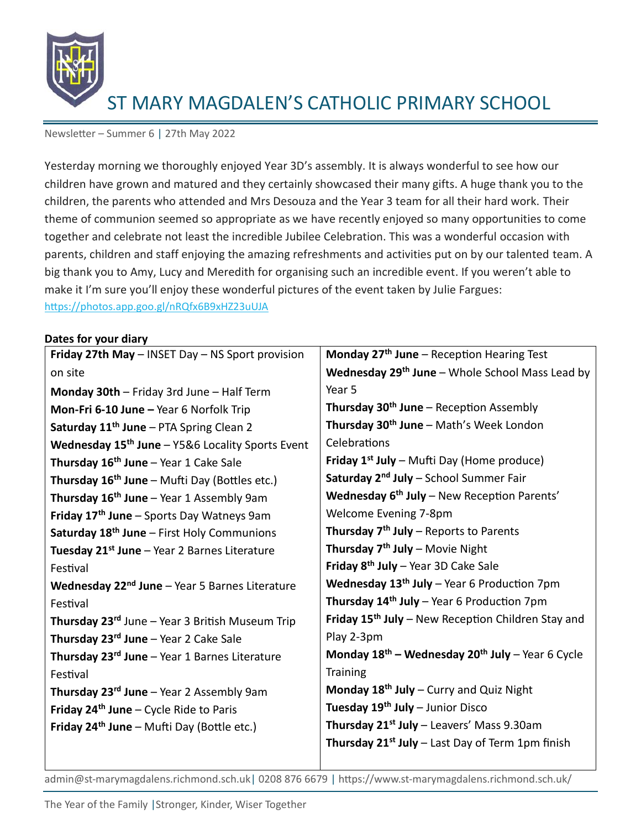

Newsletter – Summer 6 | 27th May 2022

Yesterday morning we thoroughly enjoyed Year 3D's assembly. It is always wonderful to see how our children have grown and matured and they certainly showcased their many gifts. A huge thank you to the children, the parents who attended and Mrs Desouza and the Year 3 team for all their hard work. Their theme of communion seemed so appropriate as we have recently enjoyed so many opportunities to come together and celebrate not least the incredible Jubilee Celebration. This was a wonderful occasion with parents, children and staff enjoying the amazing refreshments and activities put on by our talented team. A big thank you to Amy, Lucy and Meredith for organising such an incredible event. If you weren't able to make it I'm sure you'll enjoy these wonderful pictures of the event taken by Julie Fargues: <https://photos.app.goo.gl/nRQfx6B9xHZ23uUJA>

### **Dates for your diary**

| Friday 27th May - INSET Day - NS Sport provision             | Monday $27th$ June – Reception Hearing Test                    |
|--------------------------------------------------------------|----------------------------------------------------------------|
| on site                                                      | <b>Wednesday 29th June</b> – Whole School Mass Lead by         |
| Monday 30th - Friday 3rd June - Half Term                    | Year 5                                                         |
| Mon-Fri 6-10 June - Year 6 Norfolk Trip                      | Thursday 30 <sup>th</sup> June - Reception Assembly            |
| Saturday 11 <sup>th</sup> June - PTA Spring Clean 2          | Thursday 30 <sup>th</sup> June - Math's Week London            |
| Wednesday 15 <sup>th</sup> June - Y5&6 Locality Sports Event | Celebrations                                                   |
| Thursday 16 <sup>th</sup> June - Year 1 Cake Sale            | <b>Friday 1st July</b> – Mufti Day (Home produce)              |
| Thursday $16^{th}$ June - Mufti Day (Bottles etc.)           | Saturday 2 <sup>nd</sup> July - School Summer Fair             |
| Thursday $16th$ June – Year 1 Assembly 9am                   | Wednesday 6 <sup>th</sup> July - New Reception Parents'        |
| Friday 17 <sup>th</sup> June - Sports Day Watneys 9am        | Welcome Evening 7-8pm                                          |
| Saturday 18 <sup>th</sup> June - First Holy Communions       | <b>Thursday <math>7th</math> July – Reports to Parents</b>     |
| Tuesday 21 <sup>st</sup> June - Year 2 Barnes Literature     | Thursday 7 <sup>th</sup> July - Movie Night                    |
| Festival                                                     | Friday 8 <sup>th</sup> July - Year 3D Cake Sale                |
| Wednesday 22 <sup>nd</sup> June - Year 5 Barnes Literature   | <b>Wednesday 13<sup>th</sup> July</b> – Year 6 Production 7pm  |
| Festival                                                     | Thursday $14th$ July – Year 6 Production 7pm                   |
| Thursday 23rd June - Year 3 British Museum Trip              | Friday 15 <sup>th</sup> July - New Reception Children Stay and |
| Thursday $23^{rd}$ June – Year 2 Cake Sale                   | Play 2-3pm                                                     |
| Thursday 23rd June - Year 1 Barnes Literature                | Monday $18^{th}$ – Wednesday $20^{th}$ July – Year 6 Cycle     |
| Festival                                                     | <b>Training</b>                                                |
| <b>Thursday 23rd June</b> – Year 2 Assembly 9am              | Monday $18th$ July – Curry and Quiz Night                      |
| <b>Friday 24th June - Cycle Ride to Paris</b>                | Tuesday 19 <sup>th</sup> July - Junior Disco                   |
| Friday $24th$ June – Mufti Day (Bottle etc.)                 | Thursday 21 <sup>st</sup> July - Leavers' Mass 9.30am          |
|                                                              | Thursday 21 <sup>st</sup> July - Last Day of Term 1pm finish   |
|                                                              |                                                                |

admin@st-marymagdalens.richmond.sch.uk| 0208 876 6679 | https://www.st-marymagdalens.richmond.sch.uk/